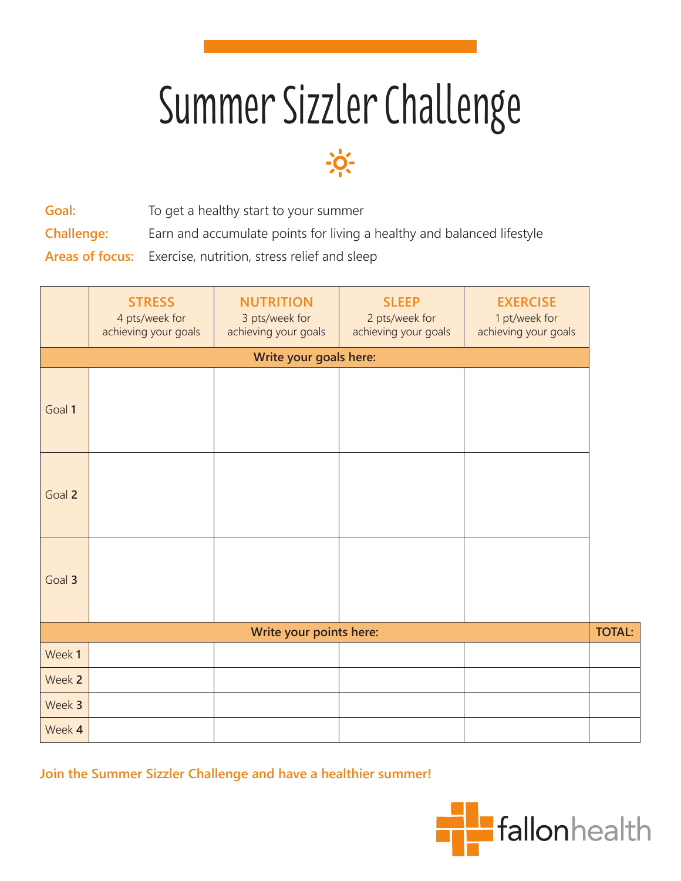## Summer Sizzler Challenge



**Goal:** To get a healthy start to your summer **Challenge:** Earn and accumulate points for living a healthy and balanced lifestyle

**Areas of focus:** Exercise, nutrition, stress relief and sleep

|                         | <b>STRESS</b><br>4 pts/week for<br>achieving your goals | <b>NUTRITION</b><br>3 pts/week for<br>achieving your goals | <b>SLEEP</b><br>2 pts/week for<br>achieving your goals | <b>EXERCISE</b><br>1 pt/week for<br>achieving your goals |  |
|-------------------------|---------------------------------------------------------|------------------------------------------------------------|--------------------------------------------------------|----------------------------------------------------------|--|
| Write your goals here:  |                                                         |                                                            |                                                        |                                                          |  |
| Goal 1                  |                                                         |                                                            |                                                        |                                                          |  |
| Goal 2                  |                                                         |                                                            |                                                        |                                                          |  |
| Goal 3                  |                                                         |                                                            |                                                        |                                                          |  |
| Write your points here: |                                                         |                                                            |                                                        |                                                          |  |
| Week 1                  |                                                         |                                                            |                                                        |                                                          |  |
| Week 2                  |                                                         |                                                            |                                                        |                                                          |  |
| Week 3                  |                                                         |                                                            |                                                        |                                                          |  |
| Week 4                  |                                                         |                                                            |                                                        |                                                          |  |

**Join the Summer Sizzler Challenge and have a healthier summer!**